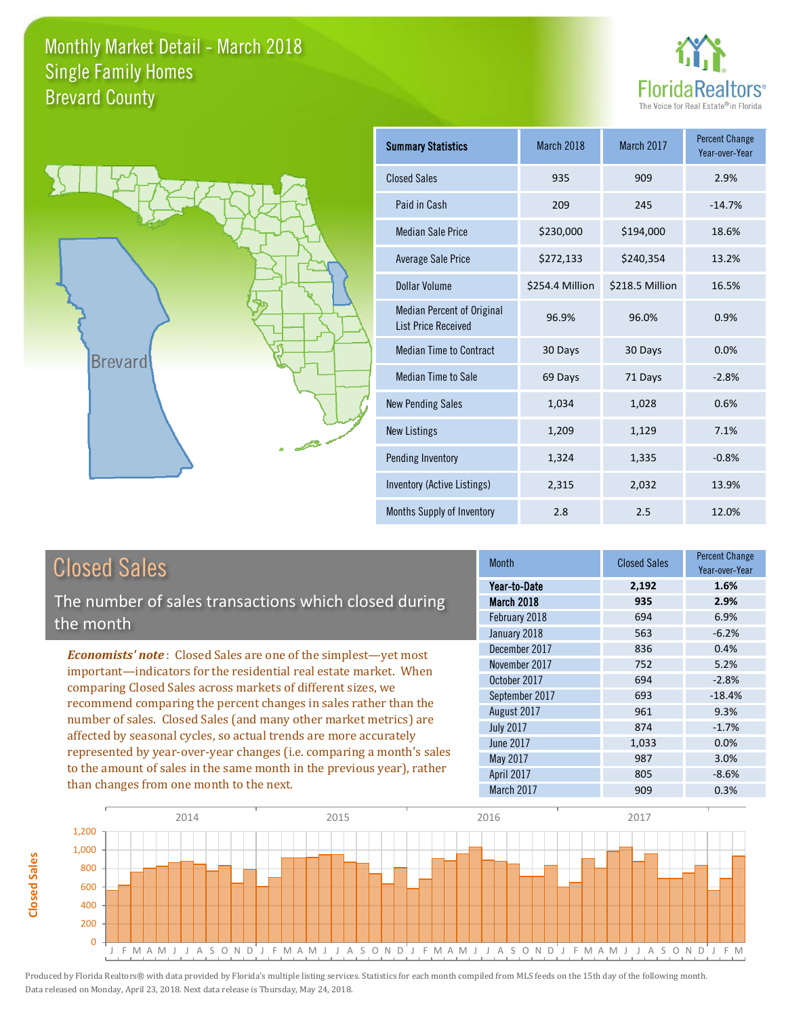



| <b>Summary Statistics</b>                                       | March 2018      | March 2017      | <b>Percent Change</b><br>Year-over-Year |
|-----------------------------------------------------------------|-----------------|-----------------|-----------------------------------------|
| <b>Closed Sales</b>                                             | 935             | 909             | 2.9%                                    |
| Paid in Cash                                                    | 209             | 245             | $-14.7%$                                |
| <b>Median Sale Price</b>                                        | \$230,000       | \$194,000       | 18.6%                                   |
| <b>Average Sale Price</b>                                       | \$272,133       | \$240,354       | 13.2%                                   |
| Dollar Volume                                                   | \$254.4 Million | \$218.5 Million | 16.5%                                   |
| <b>Median Percent of Original</b><br><b>List Price Received</b> | 96.9%           | 96.0%           | 0.9%                                    |
| <b>Median Time to Contract</b>                                  | 30 Days         | 30 Days         | 0.0%                                    |
| <b>Median Time to Sale</b>                                      | 69 Days         | 71 Days         | $-2.8%$                                 |
| <b>New Pending Sales</b>                                        | 1,034           | 1,028           | 0.6%                                    |
| <b>New Listings</b>                                             | 1,209           | 1,129           | 7.1%                                    |
| Pending Inventory                                               | 1,324           | 1,335           | $-0.8%$                                 |
| <b>Inventory (Active Listings)</b>                              | 2,315           | 2,032           | 13.9%                                   |
| Months Supply of Inventory                                      | 2.8             | 2.5             | 12.0%                                   |

# Closed Sales

**Closed Sales**

**Closed Sales** 

The number of sales transactions which closed during the month

*Economists' note* : Closed Sales are one of the simplest—yet most important—indicators for the residential real estate market. When comparing Closed Sales across markets of different sizes, we recommend comparing the percent changes in sales rather than the number of sales. Closed Sales (and many other market metrics) are affected by seasonal cycles, so actual trends are more accurately represented by year-over-year changes (i.e. comparing a month's sales to the amount of sales in the same month in the previous year), rather than changes from one month to the next.

| Month            | <b>Closed Sales</b> | <b>Percent Change</b><br>Year-over-Year |
|------------------|---------------------|-----------------------------------------|
| Year-to-Date     | 2,192               | 1.6%                                    |
| March 2018       | 935                 | 2.9%                                    |
| February 2018    | 694                 | 6.9%                                    |
| January 2018     | 563                 | $-6.2%$                                 |
| December 2017    | 836                 | 0.4%                                    |
| November 2017    | 752                 | 5.2%                                    |
| October 2017     | 694                 | $-2.8%$                                 |
| September 2017   | 693                 | $-18.4%$                                |
| August 2017      | 961                 | 9.3%                                    |
| <b>July 2017</b> | 874                 | $-1.7%$                                 |
| <b>June 2017</b> | 1,033               | 0.0%                                    |
| May 2017         | 987                 | 3.0%                                    |
| April 2017       | 805                 | $-8.6%$                                 |
| March 2017       | 909                 | 0.3%                                    |

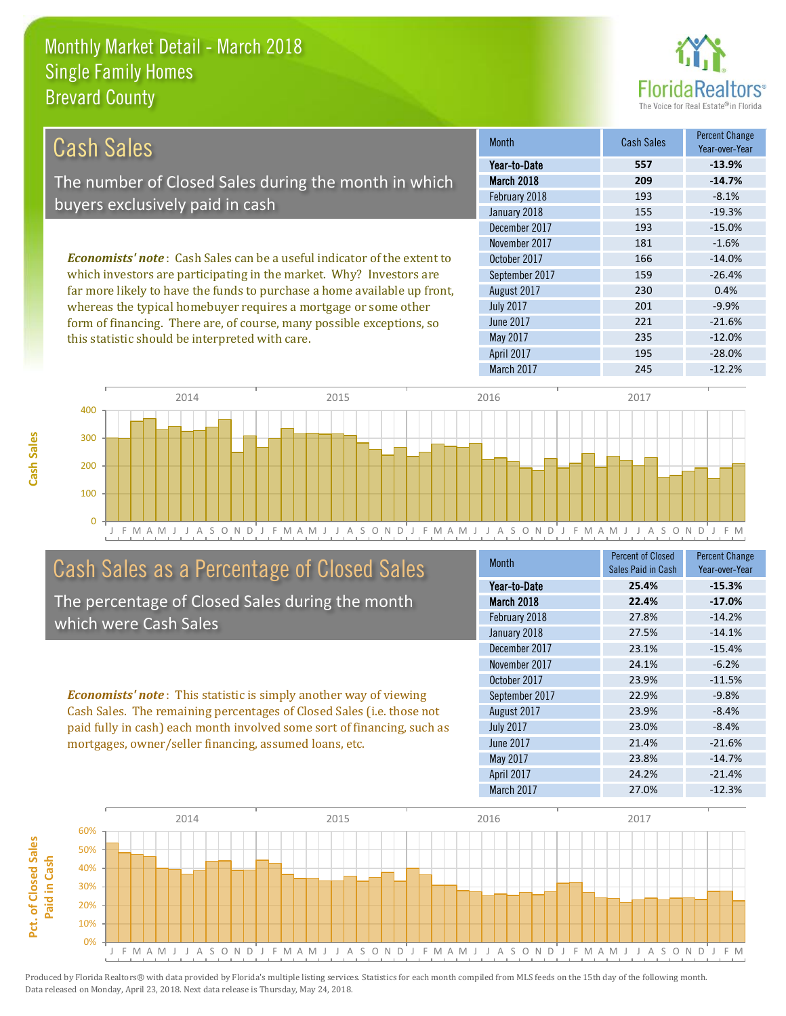this statistic should be interpreted with care.



235 -12.0%

| Cash Sales                                                                     | <b>Month</b>     | Cash Sales | <b>Percent Change</b><br>Year-over-Year |
|--------------------------------------------------------------------------------|------------------|------------|-----------------------------------------|
|                                                                                | Year-to-Date     | 557        | $-13.9%$                                |
| The number of Closed Sales during the month in which                           | March 2018       | 209        | $-14.7%$                                |
|                                                                                | February 2018    | 193        | $-8.1%$                                 |
| buyers exclusively paid in cash                                                | January 2018     | 155        | $-19.3%$                                |
|                                                                                | December 2017    | 193        | $-15.0%$                                |
|                                                                                | November 2017    | 181        | $-1.6%$                                 |
| <b>Economists' note:</b> Cash Sales can be a useful indicator of the extent to | October 2017     | 166        | $-14.0%$                                |
| which investors are participating in the market. Why? Investors are            | September 2017   | 159        | $-26.4%$                                |
| far more likely to have the funds to purchase a home available up front,       | August 2017      | 230        | 0.4%                                    |
| whereas the typical homebuyer requires a mortgage or some other                | <b>July 2017</b> | 201        | $-9.9%$                                 |
| form of financing. There are, of course, many possible exceptions, so          | June 2017        | 221        | $-21.6%$                                |

J F M A M J J A S O N D J F M A M J J A S O N D J F M A M J J A S O N D J F M A M J J A S O N D J F M  $\Omega$ 100 200 300 400 2014 2015 2016 2017

# Cash Sales as a Percentage of Closed Sales

The percentage of Closed Sales during the month which were Cash Sales

*Economists' note* : This statistic is simply another way of viewing Cash Sales. The remaining percentages of Closed Sales (i.e. those not paid fully in cash) each month involved some sort of financing, such as mortgages, owner/seller financing, assumed loans, etc.

| <b>Month</b>     | <b>Percent of Closed</b><br>Sales Paid in Cash | <b>Percent Change</b><br>Year-over-Year |
|------------------|------------------------------------------------|-----------------------------------------|
| Year-to-Date     | 25.4%                                          | $-15.3%$                                |
| March 2018       | 22.4%                                          | $-17.0%$                                |
| February 2018    | 27.8%                                          | $-14.2%$                                |
| January 2018     | 27.5%                                          | $-14.1%$                                |
| December 2017    | 23.1%                                          | $-15.4%$                                |
| November 2017    | 24.1%                                          | $-6.2%$                                 |
| October 2017     | 23.9%                                          | $-11.5%$                                |
| September 2017   | 22.9%                                          | $-9.8%$                                 |
| August 2017      | 23.9%                                          | $-8.4%$                                 |
| <b>July 2017</b> | 23.0%                                          | $-8.4%$                                 |
| June 2017        | 21.4%                                          | $-21.6%$                                |
| May 2017         | 23.8%                                          | $-14.7%$                                |
| April 2017       | 24.2%                                          | $-21.4%$                                |
| March 2017       | 27.0%                                          | $-12.3%$                                |

March 2017 245 -12.2%

April 2017 **195** -28.0%

May 2017

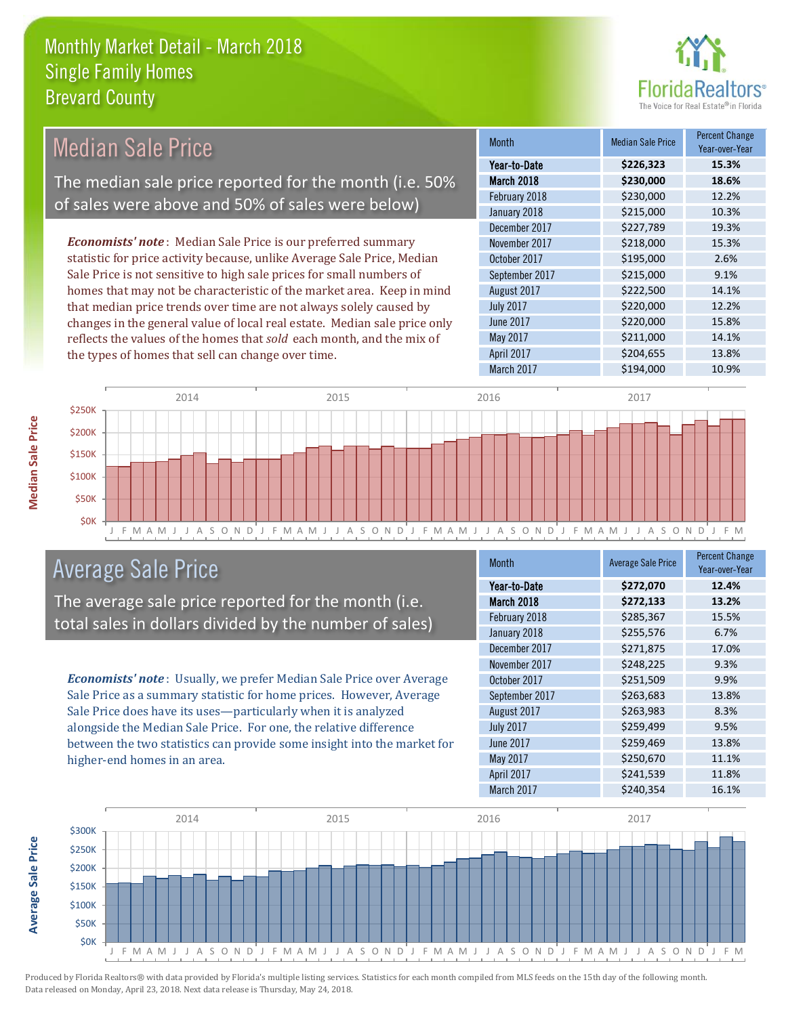

| <b>Median Sale Price</b>                                                  | <b>Month</b>     | <b>Median Sale Price</b> | <b>Percent Change</b><br>Year-over-Year |
|---------------------------------------------------------------------------|------------------|--------------------------|-----------------------------------------|
|                                                                           | Year-to-Date     | \$226,323                | 15.3%                                   |
| The median sale price reported for the month (i.e. 50%                    | March 2018       | \$230,000                | 18.6%                                   |
| of sales were above and 50% of sales were below)                          | February 2018    | \$230,000                | 12.2%                                   |
|                                                                           | January 2018     | \$215,000                | 10.3%                                   |
|                                                                           | December 2017    | \$227,789                | 19.3%                                   |
| <b>Economists' note:</b> Median Sale Price is our preferred summary       | November 2017    | \$218,000                | 15.3%                                   |
| statistic for price activity because, unlike Average Sale Price, Median   | October 2017     | \$195,000                | 2.6%                                    |
| Sale Price is not sensitive to high sale prices for small numbers of      | September 2017   | \$215,000                | 9.1%                                    |
| homes that may not be characteristic of the market area. Keep in mind     | August 2017      | \$222,500                | 14.1%                                   |
| that median price trends over time are not always solely caused by        | <b>July 2017</b> | \$220,000                | 12.2%                                   |
| changes in the general value of local real estate. Median sale price only | June 2017        | \$220,000                | 15.8%                                   |
| reflects the values of the homes that sold each month, and the mix of     | May 2017         | \$211,000                | 14.1%                                   |
| the types of homes that sell can change over time.                        | April 2017       | \$204,655                | 13.8%                                   |



# Average Sale Price

The average sale price reported for the month (i.e. total sales in dollars divided by the number of sales)

*Economists' note* : Usually, we prefer Median Sale Price over Average Sale Price as a summary statistic for home prices. However, Average Sale Price does have its uses—particularly when it is analyzed alongside the Median Sale Price. For one, the relative difference between the two statistics can provide some insight into the market for higher-end homes in an area.

| <b>Month</b>     | <b>Average Sale Price</b> | <b>Percent Change</b><br>Year-over-Year |
|------------------|---------------------------|-----------------------------------------|
| Year-to-Date     | \$272,070                 | 12.4%                                   |
| March 2018       | \$272,133                 | 13.2%                                   |
| February 2018    | \$285,367                 | 15.5%                                   |
| January 2018     | \$255,576                 | 6.7%                                    |
| December 2017    | \$271,875                 | 17.0%                                   |
| November 2017    | \$248,225                 | 9.3%                                    |
| October 2017     | \$251,509                 | 9.9%                                    |
| September 2017   | \$263,683                 | 13.8%                                   |
| August 2017      | \$263,983                 | 8.3%                                    |
| <b>July 2017</b> | \$259,499                 | 9.5%                                    |
| <b>June 2017</b> | \$259,469                 | 13.8%                                   |
| May 2017         | \$250,670                 | 11.1%                                   |
| April 2017       | \$241,539                 | 11.8%                                   |
| March 2017       | \$240,354                 | 16.1%                                   |

March 2017 **\$194,000** \$194,000 10.9%



Produced by Florida Realtors® with data provided by Florida's multiple listing services. Statistics for each month compiled from MLS feeds on the 15th day of the following month. Data released on Monday, April 23, 2018. Next data release is Thursday, May 24, 2018.

**Average Sale Price**

**Average Sale Price**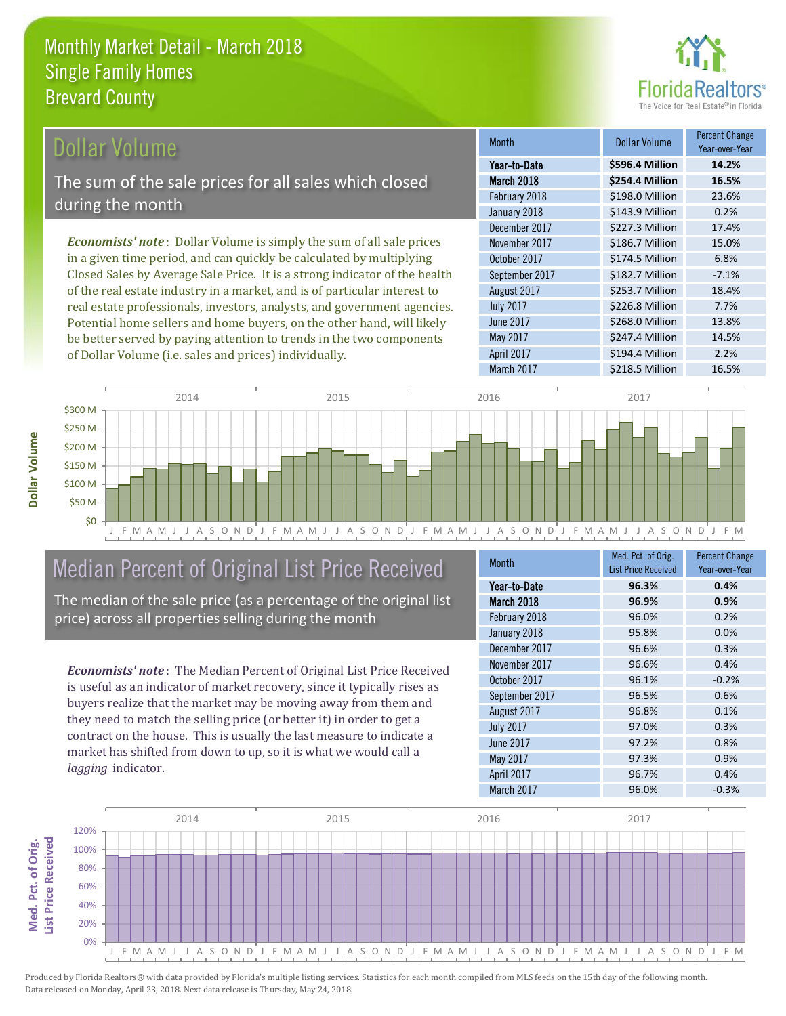

# Dollar Volume

The sum of the sale prices for all sales which closed during the month

*Economists' note* : Dollar Volume is simply the sum of all sale prices in a given time period, and can quickly be calculated by multiplying Closed Sales by Average Sale Price. It is a strong indicator of the health of the real estate industry in a market, and is of particular interest to real estate professionals, investors, analysts, and government agencies. Potential home sellers and home buyers, on the other hand, will likely be better served by paying attention to trends in the two components of Dollar Volume (i.e. sales and prices) individually.

| <b>Month</b>     | Dollar Volume   | <b>Percent Change</b><br>Year-over-Year |
|------------------|-----------------|-----------------------------------------|
| Year-to-Date     | \$596.4 Million | 14.2%                                   |
| March 2018       | \$254.4 Million | 16.5%                                   |
| February 2018    | \$198.0 Million | 23.6%                                   |
| January 2018     | \$143.9 Million | 0.2%                                    |
| December 2017    | \$227.3 Million | 17.4%                                   |
| November 2017    | \$186.7 Million | 15.0%                                   |
| October 2017     | \$174.5 Million | 6.8%                                    |
| September 2017   | \$182.7 Million | $-7.1%$                                 |
| August 2017      | \$253.7 Million | 18.4%                                   |
| <b>July 2017</b> | \$226.8 Million | 7.7%                                    |
| <b>June 2017</b> | \$268.0 Million | 13.8%                                   |
| May 2017         | \$247.4 Million | 14.5%                                   |
| April 2017       | \$194.4 Million | 2.2%                                    |
| March 2017       | \$218.5 Million | 16.5%                                   |



# Median Percent of Original List Price Received

The median of the sale price (as a percentage of the original list price) across all properties selling during the month

*Economists' note* : The Median Percent of Original List Price Received is useful as an indicator of market recovery, since it typically rises as buyers realize that the market may be moving away from them and they need to match the selling price (or better it) in order to get a contract on the house. This is usually the last measure to indicate a market has shifted from down to up, so it is what we would call a *lagging* indicator.

| <b>Month</b>     | Med. Pct. of Orig.         | <b>Percent Change</b> |
|------------------|----------------------------|-----------------------|
|                  | <b>List Price Received</b> | Year-over-Year        |
| Year-to-Date     | 96.3%                      | 0.4%                  |
| March 2018       | 96.9%                      | 0.9%                  |
| February 2018    | 96.0%                      | 0.2%                  |
| January 2018     | 95.8%                      | 0.0%                  |
| December 2017    | 96.6%                      | 0.3%                  |
| November 2017    | 96.6%                      | 0.4%                  |
| October 2017     | 96.1%                      | $-0.2%$               |
| September 2017   | 96.5%                      | 0.6%                  |
| August 2017      | 96.8%                      | 0.1%                  |
| <b>July 2017</b> | 97.0%                      | 0.3%                  |
| <b>June 2017</b> | 97.2%                      | 0.8%                  |
| May 2017         | 97.3%                      | 0.9%                  |
| April 2017       | 96.7%                      | 0.4%                  |
| March 2017       | 96.0%                      | $-0.3%$               |



Produced by Florida Realtors® with data provided by Florida's multiple listing services. Statistics for each month compiled from MLS feeds on the 15th day of the following month. Data released on Monday, April 23, 2018. Next data release is Thursday, May 24, 2018.

**Med. Pct. of Orig.** 

Med. Pct. of Orig.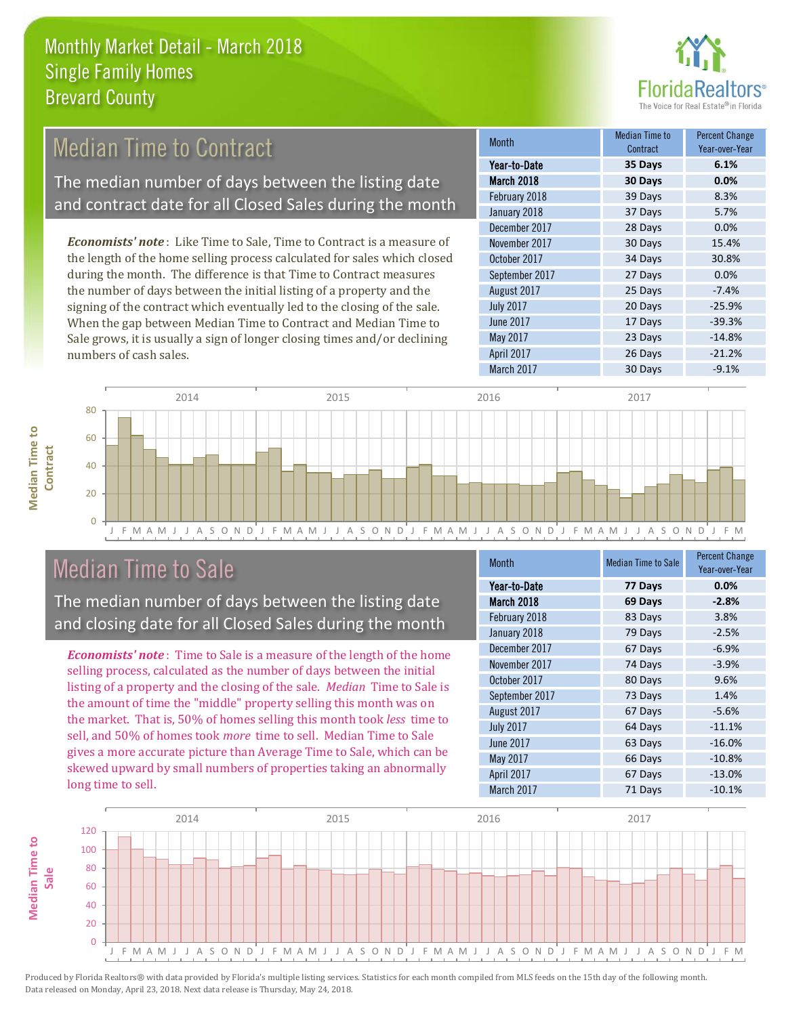

#### 37 Days 5.7% December 2017 **28 Days 0.0%** Month Month Median Time to Contract Percent Change Year-over-Year March 2018 **30 Days 0.0%** Year-to-Date **35 Days 6.1%** February 2018 **39 Days** 8.3% January 2018 September 2017 27 Days 0.0% November 2017 30 Days 15.4% October 2017 34 Days 30.8% *Economists' note* : Like Time to Sale, Time to Contract is a measure of the length of the home selling process calculated for sales which closed during the month. The difference is that Time to Contract measures Median Time to Contract The median number of days between the listing date and contract date for all Closed Sales during the month

the number of days between the initial listing of a property and the signing of the contract which eventually led to the closing of the sale. When the gap between Median Time to Contract and Median Time to Sale grows, it is usually a sign of longer closing times and/or declining numbers of cash sales.

|                  | <b>UUIILIAUL</b> | 1 041 - 070 - 1041 |
|------------------|------------------|--------------------|
| Year-to-Date     | 35 Days          | 6.1%               |
| March 2018       | 30 Days          | 0.0%               |
| February 2018    | 39 Days          | 8.3%               |
| January 2018     | 37 Days          | 5.7%               |
| December 2017    | 28 Days          | 0.0%               |
| November 2017    | 30 Days          | 15.4%              |
| October 2017     | 34 Days          | 30.8%              |
| September 2017   | 27 Days          | 0.0%               |
| August 2017      | 25 Days          | $-7.4%$            |
| <b>July 2017</b> | 20 Days          | $-25.9%$           |
| <b>June 2017</b> | 17 Days          | $-39.3%$           |
| May 2017         | 23 Days          | $-14.8%$           |
| April 2017       | 26 Days          | $-21.2%$           |
| March 2017       | 30 Days          | $-9.1%$            |



# Median Time to Sale

**Median Time to** 

**Median Time to** 

The median number of days between the listing date and closing date for all Closed Sales during the month

*Economists' note* : Time to Sale is a measure of the length of the home selling process, calculated as the number of days between the initial listing of a property and the closing of the sale. *Median* Time to Sale is the amount of time the "middle" property selling this month was on the market. That is, 50% of homes selling this month took *less* time to sell, and 50% of homes took *more* time to sell. Median Time to Sale gives a more accurate picture than Average Time to Sale, which can be skewed upward by small numbers of properties taking an abnormally long time to sell.

| <b>Month</b>     | <b>Median Time to Sale</b> | <b>Percent Change</b><br>Year-over-Year |
|------------------|----------------------------|-----------------------------------------|
| Year-to-Date     | 77 Days                    | 0.0%                                    |
| March 2018       | 69 Days                    | $-2.8%$                                 |
| February 2018    | 83 Days                    | 3.8%                                    |
| January 2018     | 79 Days                    | $-2.5%$                                 |
| December 2017    | 67 Days                    | $-6.9%$                                 |
| November 2017    | 74 Days                    | $-3.9%$                                 |
| October 2017     | 80 Days                    | 9.6%                                    |
| September 2017   | 73 Days                    | 1.4%                                    |
| August 2017      | 67 Days                    | $-5.6%$                                 |
| <b>July 2017</b> | 64 Days                    | $-11.1%$                                |
| <b>June 2017</b> | 63 Days                    | $-16.0%$                                |
| May 2017         | 66 Days                    | $-10.8%$                                |
| April 2017       | 67 Days                    | $-13.0%$                                |
| March 2017       | 71 Days                    | $-10.1%$                                |

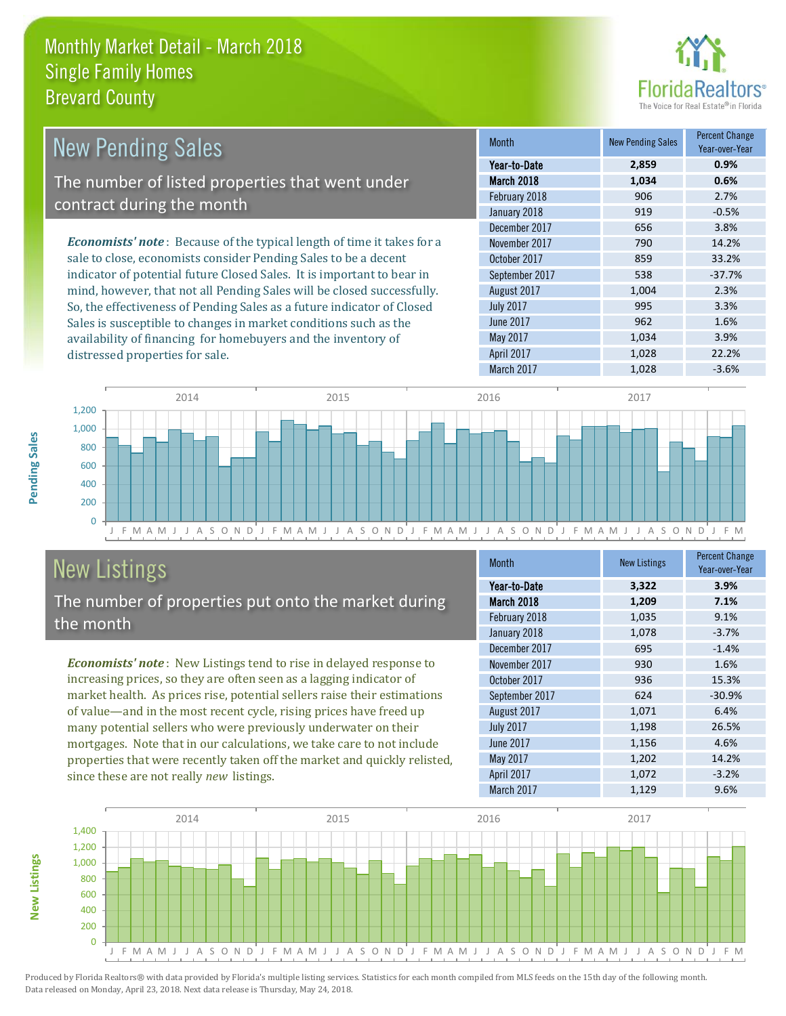

| New Pending Sales                                                             | <b>Month</b>     | New Pending Sales | <b>Percent Change</b><br>Year-over-Year |
|-------------------------------------------------------------------------------|------------------|-------------------|-----------------------------------------|
|                                                                               | Year-to-Date     | 2,859             | 0.9%                                    |
| The number of listed properties that went under                               | March 2018       | 1,034             | 0.6%                                    |
| contract during the month                                                     | February 2018    | 906               | 2.7%                                    |
|                                                                               | January 2018     | 919               | $-0.5%$                                 |
|                                                                               | December 2017    | 656               | 3.8%                                    |
| <b>Economists' note:</b> Because of the typical length of time it takes for a | November 2017    | 790               | 14.2%                                   |
| sale to close, economists consider Pending Sales to be a decent               | October 2017     | 859               | 33.2%                                   |
| indicator of potential future Closed Sales. It is important to bear in        | September 2017   | 538               | $-37.7%$                                |
| mind, however, that not all Pending Sales will be closed successfully.        | August 2017      | 1,004             | 2.3%                                    |
| So, the effectiveness of Pending Sales as a future indicator of Closed        | <b>July 2017</b> | 995               | 3.3%                                    |

Sales is susceptible to changes in market conditions such as the availability of financing for homebuyers and the inventory of distressed properties for sale.



# New Listings

The number of properties put onto the market during the month

*Economists' note* : New Listings tend to rise in delayed response to increasing prices, so they are often seen as a lagging indicator of market health. As prices rise, potential sellers raise their estimations of value—and in the most recent cycle, rising prices have freed up many potential sellers who were previously underwater on their mortgages. Note that in our calculations, we take care to not include properties that were recently taken off the market and quickly relisted, since these are not really *new* listings.

| <b>Month</b>     | <b>New Listings</b> | <b>Percent Change</b><br>Year-over-Year |
|------------------|---------------------|-----------------------------------------|
| Year-to-Date     | 3,322               | 3.9%                                    |
| March 2018       | 1,209               | 7.1%                                    |
| February 2018    | 1,035               | 9.1%                                    |
| January 2018     | 1,078               | $-3.7%$                                 |
| December 2017    | 695                 | $-1.4%$                                 |
| November 2017    | 930                 | 1.6%                                    |
| October 2017     | 936                 | 15.3%                                   |
| September 2017   | 624                 | $-30.9%$                                |
| August 2017      | 1,071               | 6.4%                                    |
| <b>July 2017</b> | 1,198               | 26.5%                                   |
| <b>June 2017</b> | 1,156               | 4.6%                                    |
| May 2017         | 1,202               | 14.2%                                   |
| April 2017       | 1,072               | $-3.2%$                                 |
| March 2017       | 1,129               | 9.6%                                    |

June 2017 **962** 1.6% May 2017 1,034 3.9% April 2017 **1,028** 22.2%



Produced by Florida Realtors® with data provided by Florida's multiple listing services. Statistics for each month compiled from MLS feeds on the 15th day of the following month. Data released on Monday, April 23, 2018. Next data release is Thursday, May 24, 2018.

**New Listings**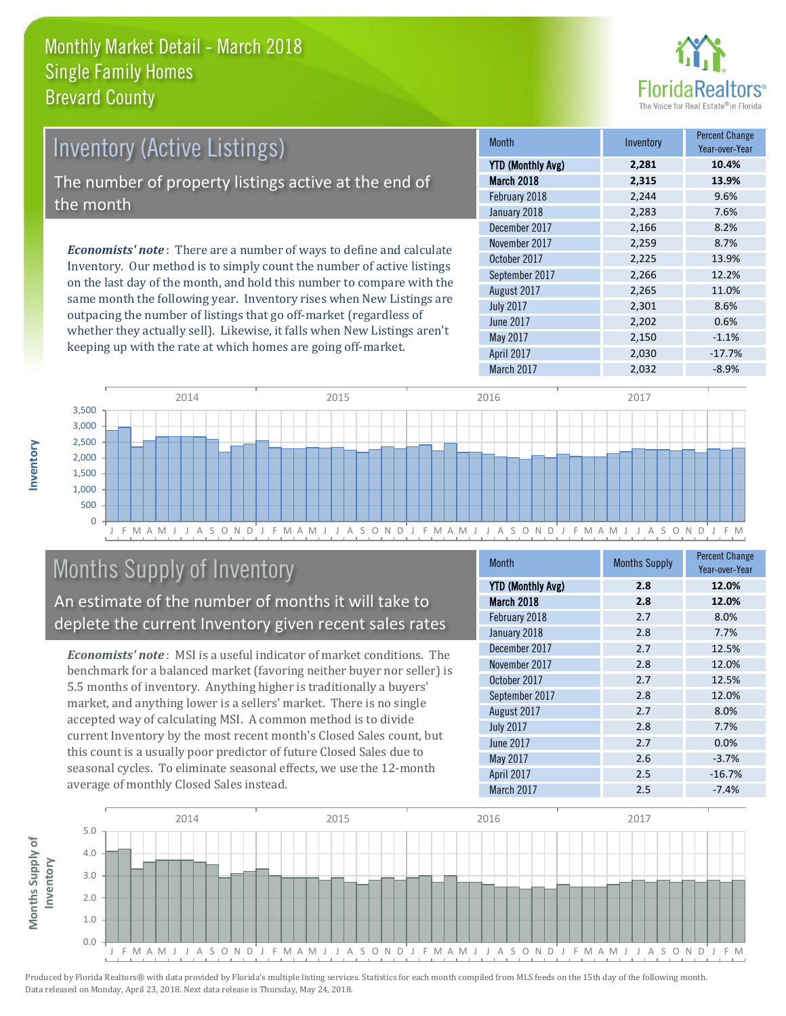

| <b>Inventory (Active Listings)</b><br>The number of property listings active at the end of<br>the month |  |                                                                              |                      |
|---------------------------------------------------------------------------------------------------------|--|------------------------------------------------------------------------------|----------------------|
|                                                                                                         |  | <b>Economists' note</b> : There are a number of ways to define and calculate | December             |
|                                                                                                         |  |                                                                              | <b>November</b>      |
|                                                                                                         |  |                                                                              | $\sim$ $\sim$ $\sim$ |

Inventory. Our method is to simply count the number of active listings on the last day of the month, and hold this number to compare with the same month the following year. Inventory rises when New Listings are outpacing the number of listings that go off-market (regardless of whether they actually sell). Likewise, it falls when New Listings aren't keeping up with the rate at which homes are going off-market.

| <b>Month</b>             | Inventory | <b>Percent Change</b><br>Year-over-Year |
|--------------------------|-----------|-----------------------------------------|
| <b>YTD (Monthly Avg)</b> | 2,281     | 10.4%                                   |
| March 2018               | 2,315     | 13.9%                                   |
| February 2018            | 2,244     | 9.6%                                    |
| January 2018             | 2,283     | 7.6%                                    |
| December 2017            | 2,166     | 8.2%                                    |
| November 2017            | 2,259     | 8.7%                                    |
| October 2017             | 2,225     | 13.9%                                   |
| September 2017           | 2,266     | 12.2%                                   |
| August 2017              | 2,265     | 11.0%                                   |
| <b>July 2017</b>         | 2,301     | 8.6%                                    |
| <b>June 2017</b>         | 2,202     | 0.6%                                    |
| May 2017                 | 2,150     | $-1.1%$                                 |
| April 2017               | 2,030     | $-17.7%$                                |
| March 2017               | 2,032     | $-8.9%$                                 |



# Months Supply of Inventory

An estimate of the number of months it will take to deplete the current Inventory given recent sales rates

*Economists' note* : MSI is a useful indicator of market conditions. The benchmark for a balanced market (favoring neither buyer nor seller) is 5.5 months of inventory. Anything higher is traditionally a buyers' market, and anything lower is a sellers' market. There is no single accepted way of calculating MSI. A common method is to divide current Inventory by the most recent month's Closed Sales count, but this count is a usually poor predictor of future Closed Sales due to seasonal cycles. To eliminate seasonal effects, we use the 12-month average of monthly Closed Sales instead.

| <b>Month</b>             | <b>Months Supply</b> | <b>Percent Change</b><br>Year-over-Year |
|--------------------------|----------------------|-----------------------------------------|
| <b>YTD (Monthly Avg)</b> | 2.8                  | 12.0%                                   |
| March 2018               | 2.8                  | 12.0%                                   |
| February 2018            | 2.7                  | 8.0%                                    |
| January 2018             | 2.8                  | 7.7%                                    |
| December 2017            | 2.7                  | 12.5%                                   |
| November 2017            | 2.8                  | 12.0%                                   |
| October 2017             | 2.7                  | 12.5%                                   |
| September 2017           | 2.8                  | 12.0%                                   |
| August 2017              | 2.7                  | 8.0%                                    |
| <b>July 2017</b>         | 2.8                  | 7.7%                                    |
| <b>June 2017</b>         | 2.7                  | 0.0%                                    |
| May 2017                 | 2.6                  | $-3.7%$                                 |
| April 2017               | 2.5                  | $-16.7%$                                |
| March 2017               | 2.5                  | $-7.4%$                                 |

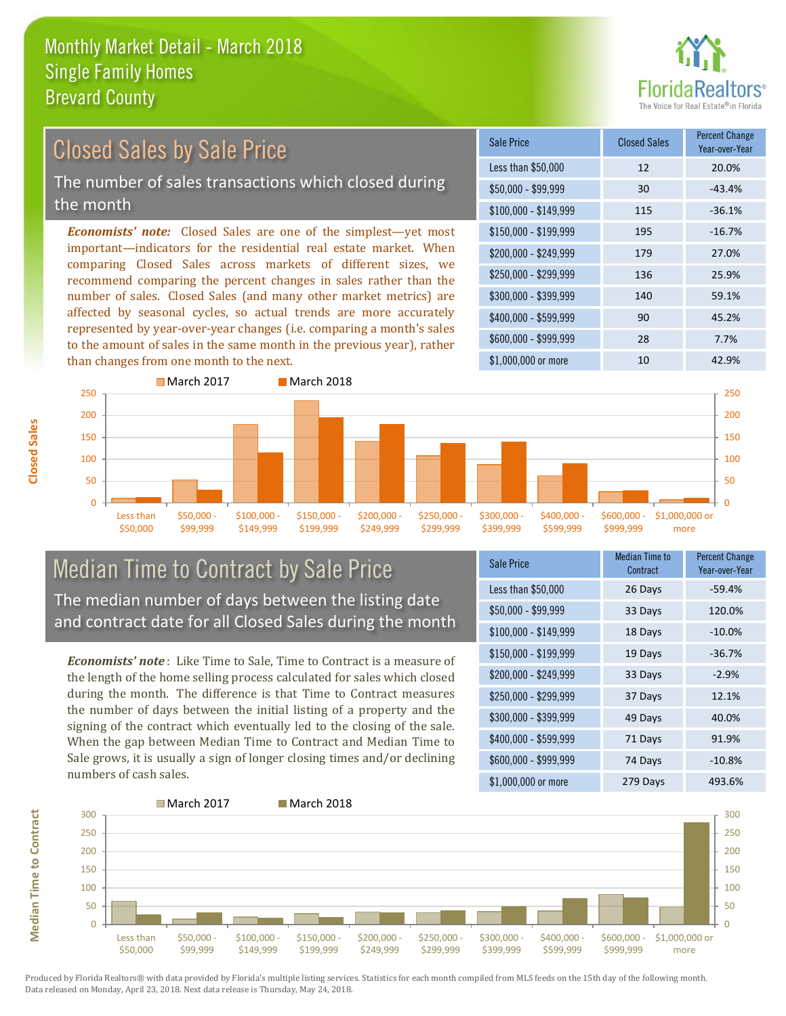

# Closed Sales by Sale Price

The number of sales transactions which closed during the month

*Economists' note:* Closed Sales are one of the simplest—yet most important—indicators for the residential real estate market. When comparing Closed Sales across markets of different sizes, we recommend comparing the percent changes in sales rather than the number of sales. Closed Sales (and many other market metrics) are affected by seasonal cycles, so actual trends are more accurately represented by year-over-year changes (i.e. comparing a month's sales to the amount of sales in the same month in the previous year), rather than changes from one month to the next.

| Sale Price            | <b>Closed Sales</b> | <b>Percent Change</b><br>Year-over-Year |
|-----------------------|---------------------|-----------------------------------------|
| Less than \$50,000    | 12                  | 20.0%                                   |
| $$50,000 - $99,999$   | 30                  | $-43.4%$                                |
| $$100,000 - $149,999$ | 115                 | $-36.1%$                                |
| \$150,000 - \$199,999 | 195                 | $-16.7%$                                |
| \$200,000 - \$249,999 | 179                 | 27.0%                                   |
| \$250,000 - \$299,999 | 136                 | 25.9%                                   |
| \$300,000 - \$399,999 | 140                 | 59.1%                                   |
| \$400,000 - \$599,999 | 90                  | 45.2%                                   |
| \$600,000 - \$999,999 | 28                  | 7.7%                                    |
| \$1,000,000 or more   | 10                  | 42.9%                                   |



#### Median Time to Contract by Sale Price The median number of days between the listing date and contract date for all Closed Sales during the month

*Economists' note* : Like Time to Sale, Time to Contract is a measure of the length of the home selling process calculated for sales which closed during the month. The difference is that Time to Contract measures the number of days between the initial listing of a property and the signing of the contract which eventually led to the closing of the sale. When the gap between Median Time to Contract and Median Time to Sale grows, it is usually a sign of longer closing times and/or declining numbers of cash sales.

| <b>Sale Price</b>     | <b>Median Time to</b><br>Contract | <b>Percent Change</b><br>Year-over-Year |
|-----------------------|-----------------------------------|-----------------------------------------|
| Less than \$50,000    | 26 Days                           | $-59.4%$                                |
| \$50,000 - \$99,999   | 33 Days                           | 120.0%                                  |
| $$100,000 - $149,999$ | 18 Days                           | $-10.0%$                                |
| \$150,000 - \$199,999 | 19 Days                           | $-36.7%$                                |
| \$200,000 - \$249,999 | 33 Days                           | $-2.9%$                                 |
| \$250,000 - \$299,999 | 37 Days                           | 12.1%                                   |
| \$300,000 - \$399,999 | 49 Days                           | 40.0%                                   |
| \$400,000 - \$599,999 | 71 Days                           | 91.9%                                   |
| \$600,000 - \$999,999 | 74 Days                           | $-10.8%$                                |
| \$1,000,000 or more   | 279 Days                          | 493.6%                                  |



Produced by Florida Realtors® with data provided by Florida's multiple listing services. Statistics for each month compiled from MLS feeds on the 15th day of the following month. Data released on Monday, April 23, 2018. Next data release is Thursday, May 24, 2018.

**Median Time to Contract**

**Median Time to Contract**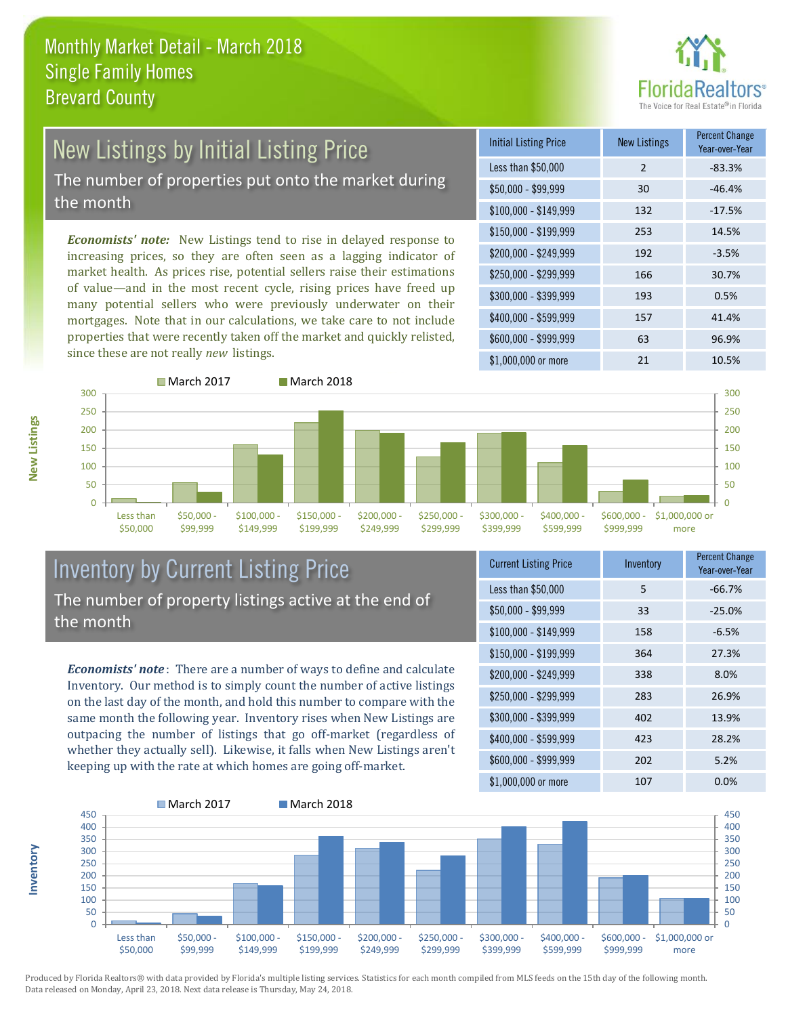

# New Listings by Initial Listing Price

The number of properties put onto the market during the month

*Economists' note:* New Listings tend to rise in delayed response to increasing prices, so they are often seen as a lagging indicator of market health. As prices rise, potential sellers raise their estimations of value—and in the most recent cycle, rising prices have freed up many potential sellers who were previously underwater on their mortgages. Note that in our calculations, we take care to not include properties that were recently taken off the market and quickly relisted, since these are not really *new* listings.

| <b>Initial Listing Price</b> | <b>New Listings</b> | <b>Percent Change</b><br>Year-over-Year |
|------------------------------|---------------------|-----------------------------------------|
| Less than \$50,000           | 2                   | $-83.3%$                                |
| \$50,000 - \$99,999          | 30                  | $-46.4%$                                |
| $$100,000 - $149,999$        | 132                 | $-17.5%$                                |
| $$150,000 - $199,999$        | 253                 | 14.5%                                   |
| \$200,000 - \$249,999        | 192                 | $-3.5%$                                 |
| \$250,000 - \$299,999        | 166                 | 30.7%                                   |
| \$300,000 - \$399,999        | 193                 | 0.5%                                    |
| \$400,000 - \$599,999        | 157                 | 41.4%                                   |
| \$600,000 - \$999,999        | 63                  | 96.9%                                   |
| \$1,000,000 or more          | 21                  | 10.5%                                   |



### Inventory by Current Listing Price The number of property listings active at the end of the month

*Economists' note* : There are a number of ways to define and calculate Inventory. Our method is to simply count the number of active listings on the last day of the month, and hold this number to compare with the same month the following year. Inventory rises when New Listings are outpacing the number of listings that go off-market (regardless of whether they actually sell). Likewise, it falls when New Listings aren't keeping up with the rate at which homes are going off-market.

| <b>Current Listing Price</b> | Inventory | <b>Percent Change</b><br>Year-over-Year |
|------------------------------|-----------|-----------------------------------------|
| Less than \$50,000           | 5         | $-66.7%$                                |
| $$50,000 - $99,999$          | 33        | $-25.0%$                                |
| $$100,000 - $149,999$        | 158       | $-6.5%$                                 |
| $$150,000 - $199,999$        | 364       | 27.3%                                   |
| \$200,000 - \$249,999        | 338       | 8.0%                                    |
| \$250,000 - \$299,999        | 283       | 26.9%                                   |
| \$300,000 - \$399,999        | 402       | 13.9%                                   |
| \$400,000 - \$599,999        | 423       | 28.2%                                   |
| \$600,000 - \$999,999        | 202       | 5.2%                                    |
| \$1,000,000 or more          | 107       | 0.0%                                    |



Produced by Florida Realtors® with data provided by Florida's multiple listing services. Statistics for each month compiled from MLS feeds on the 15th day of the following month. Data released on Monday, April 23, 2018. Next data release is Thursday, May 24, 2018.

**Inventory**